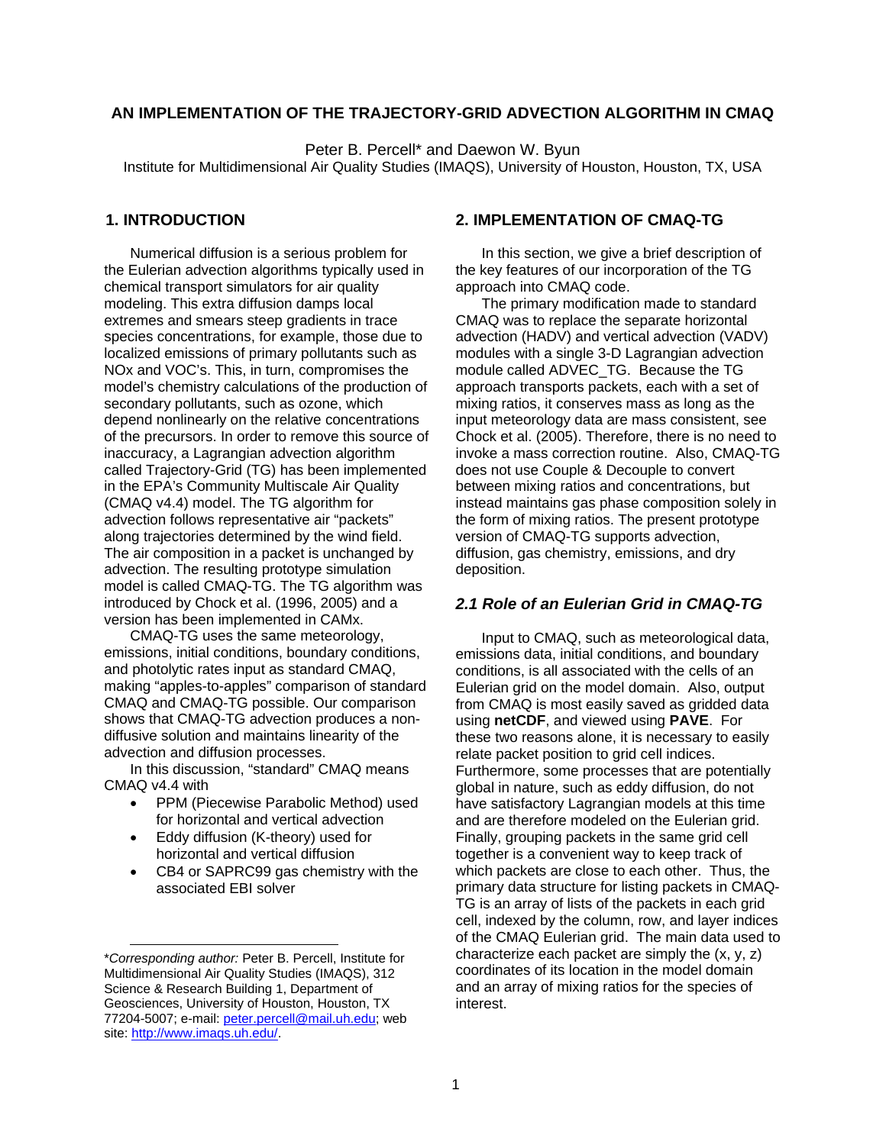# **AN IMPLEMENTATION OF THE TRAJECTORY-GRID ADVECTION ALGORITHM IN CMAQ**

Peter B. Percell\* and Daewon W. Byun

Institute for Multidimensional Air Quality Studies (IMAQS), University of Houston, Houston, TX, USA

### **1. INTRODUCTION**

Numerical diffusion is a serious problem for the Eulerian advection algorithms typically used in chemical transport simulators for air quality modeling. This extra diffusion damps local extremes and smears steep gradients in trace species concentrations, for example, those due to localized emissions of primary pollutants such as NOx and VOC's. This, in turn, compromises the model's chemistry calculations of the production of secondary pollutants, such as ozone, which depend nonlinearly on the relative concentrations of the precursors. In order to remove this source of inaccuracy, a Lagrangian advection algorithm called Trajectory-Grid (TG) has been implemented in the EPA's Community Multiscale Air Quality (CMAQ v4.4) model. The TG algorithm for advection follows representative air "packets" along trajectories determined by the wind field. The air composition in a packet is unchanged by advection. The resulting prototype simulation model is called CMAQ-TG. The TG algorithm was introduced by Chock et al. (1996, 2005) and a version has been implemented in CAMx.

CMAQ-TG uses the same meteorology, emissions, initial conditions, boundary conditions, and photolytic rates input as standard CMAQ, making "apples-to-apples" comparison of standard CMAQ and CMAQ-TG possible. Our comparison shows that CMAQ-TG advection produces a nondiffusive solution and maintains linearity of the advection and diffusion processes.

In this discussion, "standard" CMAQ means CMAQ v4.4 with

- PPM (Piecewise Parabolic Method) used for horizontal and vertical advection
- Eddy diffusion (K-theory) used for horizontal and vertical diffusion
- CB4 or SAPRC99 gas chemistry with the associated EBI solver

l

# **2. IMPLEMENTATION OF CMAQ-TG**

In this section, we give a brief description of the key features of our incorporation of the TG approach into CMAQ code.

The primary modification made to standard CMAQ was to replace the separate horizontal advection (HADV) and vertical advection (VADV) modules with a single 3-D Lagrangian advection module called ADVEC\_TG. Because the TG approach transports packets, each with a set of mixing ratios, it conserves mass as long as the input meteorology data are mass consistent, see Chock et al. (2005). Therefore, there is no need to invoke a mass correction routine. Also, CMAQ-TG does not use Couple & Decouple to convert between mixing ratios and concentrations, but instead maintains gas phase composition solely in the form of mixing ratios. The present prototype version of CMAQ-TG supports advection, diffusion, gas chemistry, emissions, and dry deposition.

### *2.1 Role of an Eulerian Grid in CMAQ-TG*

Input to CMAQ, such as meteorological data, emissions data, initial conditions, and boundary conditions, is all associated with the cells of an Eulerian grid on the model domain. Also, output from CMAQ is most easily saved as gridded data using **netCDF**, and viewed using **PAVE**. For these two reasons alone, it is necessary to easily relate packet position to grid cell indices. Furthermore, some processes that are potentially global in nature, such as eddy diffusion, do not have satisfactory Lagrangian models at this time and are therefore modeled on the Eulerian grid. Finally, grouping packets in the same grid cell together is a convenient way to keep track of which packets are close to each other. Thus, the primary data structure for listing packets in CMAQ-TG is an array of lists of the packets in each grid cell, indexed by the column, row, and layer indices of the CMAQ Eulerian grid. The main data used to characterize each packet are simply the (x, y, z) coordinates of its location in the model domain and an array of mixing ratios for the species of interest.

<sup>\*</sup>*Corresponding author:* Peter B. Percell, Institute for Multidimensional Air Quality Studies (IMAQS), 312 Science & Research Building 1, Department of Geosciences, University of Houston, Houston, TX 77204-5007; e-mail: [peter.percell@mail.uh.edu;](mailto:peter.percell@mail.uh.edu) web site: http://www.imaqs.uh.edu/.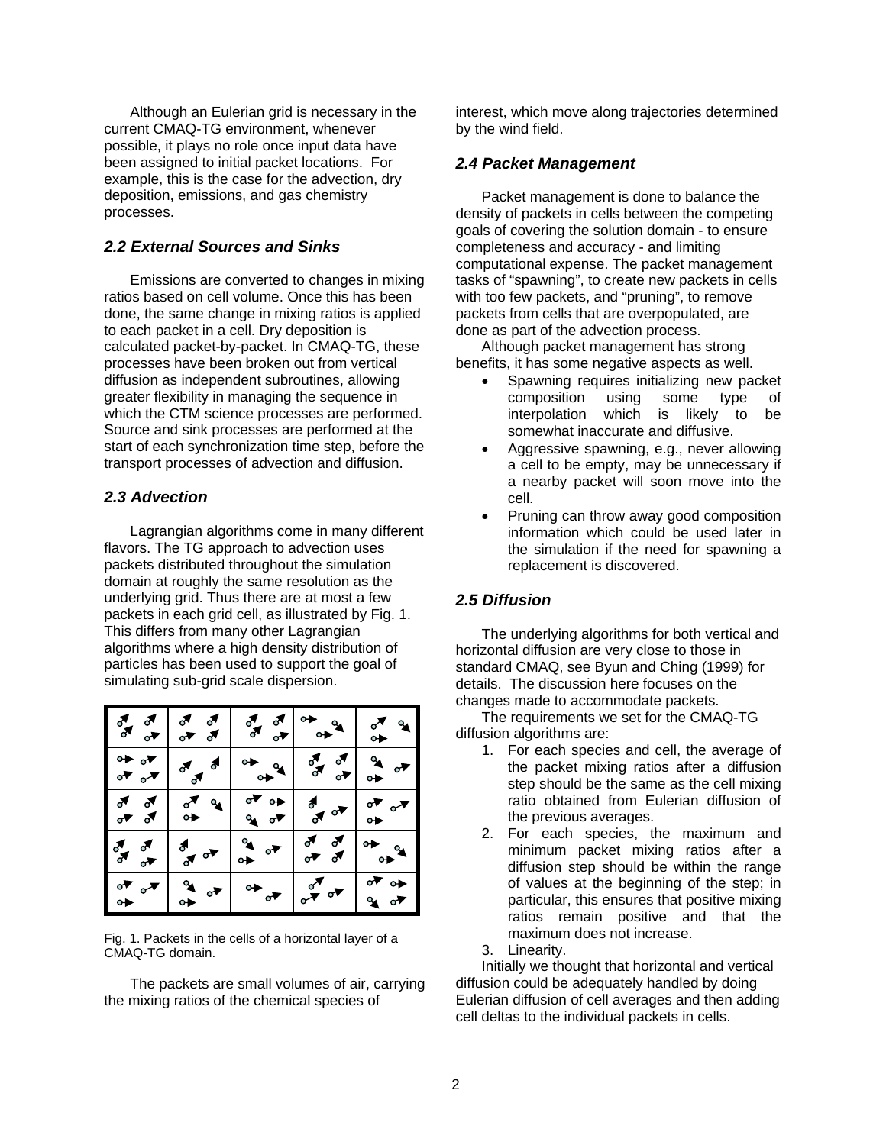Although an Eulerian grid is necessary in the current CMAQ-TG environment, whenever possible, it plays no role once input data have been assigned to initial packet locations. For example, this is the case for the advection, dry deposition, emissions, and gas chemistry processes.

## *2.2 External Sources and Sinks*

Emissions are converted to changes in mixing ratios based on cell volume. Once this has been done, the same change in mixing ratios is applied to each packet in a cell. Dry deposition is calculated packet-by-packet. In CMAQ-TG, these processes have been broken out from vertical diffusion as independent subroutines, allowing greater flexibility in managing the sequence in which the CTM science processes are performed. Source and sink processes are performed at the start of each synchronization time step, before the transport processes of advection and diffusion.

### *2.3 Advection*

Lagrangian algorithms come in many different flavors. The TG approach to advection uses packets distributed throughout the simulation domain at roughly the same resolution as the underlying grid. Thus there are at most a few packets in each grid cell, as illustrated by Fig. 1. This differs from many other Lagrangian algorithms where a high density distribution of particles has been used to support the goal of simulating sub-grid scale dispersion.

| $\frac{3}{5}$ $\frac{3}{5}$<br>$\sigma^{\blacktriangledown}$                | $\delta$ $\delta$<br>$\sigma$ $\sigma$           | $\delta_{\rm c}$<br>$\boldsymbol{\epsilon}$<br>$\sigma^{\blacktriangledown}$                        | $\rightarrow$<br>$\mathbf{Q}$<br>$\bullet \bullet$ <sup>4</sup>        | ∝ี ใ<br>$\rightarrow$                                  |
|-----------------------------------------------------------------------------|--------------------------------------------------|-----------------------------------------------------------------------------------------------------|------------------------------------------------------------------------|--------------------------------------------------------|
| $\leftrightarrow$<br>$\sigma$ $\sigma$                                      | $\boldsymbol{\epsilon}$<br>ಿ<br>$\boldsymbol{J}$ | $\bullet \bullet$<br>٩,<br>$\rightarrow$ <sup>3</sup>                                               | $\frac{1}{\sigma}$ $\frac{1}{\sigma}$<br>$\sigma^{\blacktriangledown}$ | $\mathbf{Q}_{\mathbf{A}}$<br>$\sigma$<br>$\rightarrow$ |
| $\sigma$ $\sigma$<br>$\sigma$ $\sigma$                                      | $\alpha$<br>$\mathbf{R}$                         | $\sigma^{\blacktriangledown}$<br>$\bullet \bullet$<br>$\mathbf{A}$<br>$\sigma^{\blacktriangledown}$ | ₫<br>$\sigma$<br>♂                                                     | ಳ<br>$\mathbf{v}$<br>$\bullet \bullet$                 |
| $\frac{3}{5}$ $\frac{3}{5}$<br>$\sigma^{\blacktriangledown}$                | $\blacklozenge$                                  | $\mathbf{v}$<br>٥Þ                                                                                  | $\frac{1}{2}$<br>$\frac{1}{\sigma}$                                    | ∘▶<br>$\rightarrow \infty$                             |
| $\bullet^{\blacktriangledown}$<br>$\sigma$<br>$\bullet \blacktriangleright$ | یه<br>$\bullet$<br>$\bullet$                     | $\bullet \bullet$<br>o▼                                                                             | $\sum_{i=1}^{n}$<br>$\sigma$                                           | ⊶<br>$\mathbf{C}$<br>$\lambda$ or                      |

Fig. 1. Packets in the cells of a horizontal layer of a CMAQ-TG domain.

The packets are small volumes of air, carrying the mixing ratios of the chemical species of

interest, which move along trajectories determined by the wind field.

#### *2.4 Packet Management*

Packet management is done to balance the density of packets in cells between the competing goals of covering the solution domain - to ensure completeness and accuracy - and limiting computational expense. The packet management tasks of "spawning", to create new packets in cells with too few packets, and "pruning", to remove packets from cells that are overpopulated, are done as part of the advection process.

Although packet management has strong benefits, it has some negative aspects as well.

- Spawning requires initializing new packet composition using some type of interpolation which is likely to be somewhat inaccurate and diffusive.
- Aggressive spawning, e.g., never allowing a cell to be empty, may be unnecessary if a nearby packet will soon move into the cell.
- Pruning can throw away good composition information which could be used later in the simulation if the need for spawning a replacement is discovered.

### *2.5 Diffusion*

The underlying algorithms for both vertical and horizontal diffusion are very close to those in standard CMAQ, see Byun and Ching (1999) for details. The discussion here focuses on the changes made to accommodate packets.

The requirements we set for the CMAQ-TG diffusion algorithms are:

- 1. For each species and cell, the average of the packet mixing ratios after a diffusion step should be the same as the cell mixing ratio obtained from Eulerian diffusion of the previous averages.
- 2. For each species, the maximum and minimum packet mixing ratios after a diffusion step should be within the range of values at the beginning of the step; in particular, this ensures that positive mixing ratios remain positive and that the maximum does not increase.
- 3. Linearity.

Initially we thought that horizontal and vertical diffusion could be adequately handled by doing Eulerian diffusion of cell averages and then adding cell deltas to the individual packets in cells.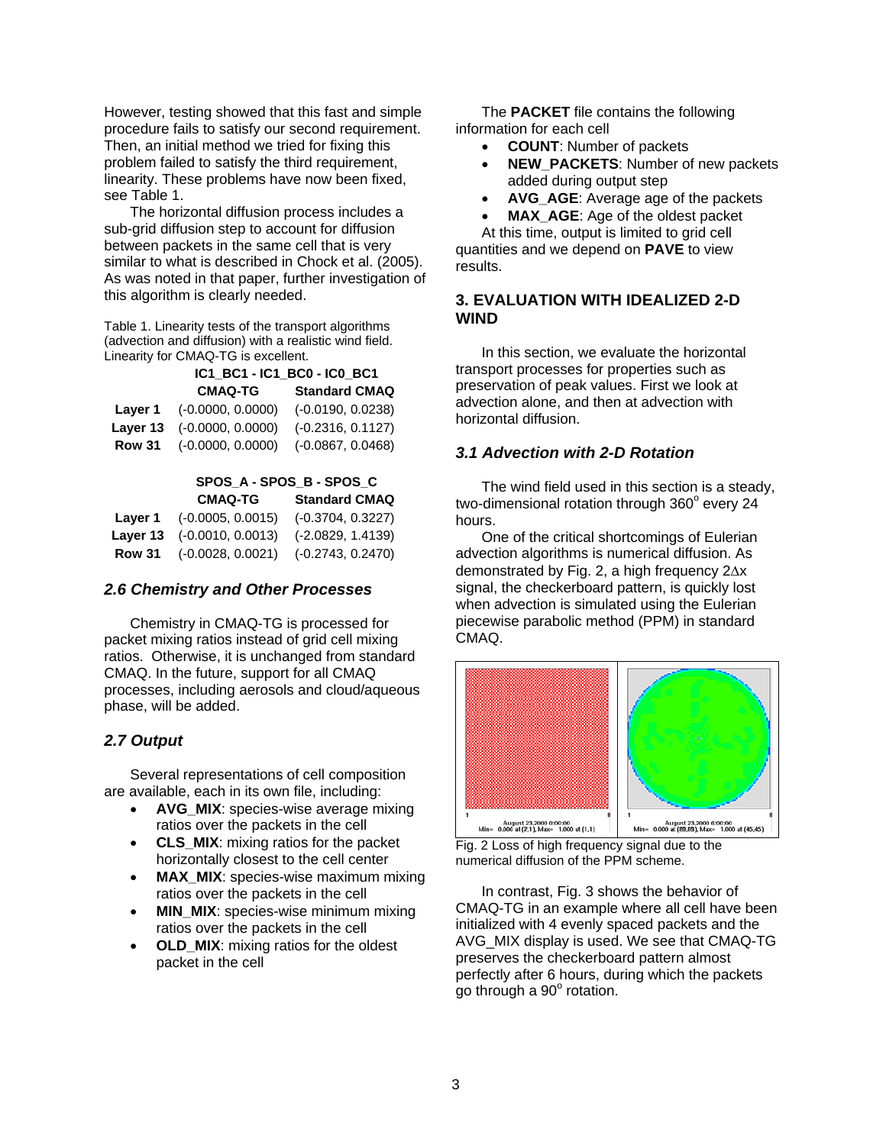However, testing showed that this fast and simple procedure fails to satisfy our second requirement. Then, an initial method we tried for fixing this problem failed to satisfy the third requirement, linearity. These problems have now been fixed, see Table 1.

The horizontal diffusion process includes a sub-grid diffusion step to account for diffusion between packets in the same cell that is very similar to what is described in Chock et al. (2005). As was noted in that paper, further investigation of this algorithm is clearly needed.

Table 1. Linearity tests of the transport algorithms (advection and diffusion) with a realistic wind field. Linearity for CMAQ-TG is excellent.

|          | IC1_BC1 - IC1_BC0 - IC0_BC1        |                      |  |
|----------|------------------------------------|----------------------|--|
|          | <b>CMAQ-TG</b>                     | <b>Standard CMAQ</b> |  |
|          | <b>Layer 1</b> $(-0.0000, 0.0000)$ | $(-0.0190, 0.0238)$  |  |
| Layer 13 | $(-0.0000, 0.0000)$                | $(-0.2316, 0.1127)$  |  |
|          | <b>Row 31</b> (-0.0000, 0.0000)    | (-0.0867, 0.0468)    |  |

### **CMAQ-TG Standard CMAQ SPOS\_A - SPOS\_B - SPOS\_C**

|                                                   | $(-0.3704, 0.3227)$                |
|---------------------------------------------------|------------------------------------|
| Layer 13 (-0.0010, 0.0013) (-2.0829, 1.4139)      |                                    |
| <b>Row 31</b> (-0.0028, 0.0021) (-0.2743, 0.2470) |                                    |
|                                                   | <b>Layer 1</b> $(-0.0005, 0.0015)$ |

# *2.6 Chemistry and Other Processes*

Chemistry in CMAQ-TG is processed for packet mixing ratios instead of grid cell mixing ratios. Otherwise, it is unchanged from standard CMAQ. In the future, support for all CMAQ processes, including aerosols and cloud/aqueous phase, will be added.

# *2.7 Output*

Several representations of cell composition are available, each in its own file, including:

- **AVG\_MIX**: species-wise average mixing ratios over the packets in the cell
- **CLS\_MIX**: mixing ratios for the packet horizontally closest to the cell center
- **MAX** MIX: species-wise maximum mixing ratios over the packets in the cell
- **MIN\_MIX:** species-wise minimum mixing ratios over the packets in the cell
- **OLD\_MIX:** mixing ratios for the oldest packet in the cell

The **PACKET** file contains the following information for each cell

- **COUNT**: Number of packets
- **NEW\_PACKETS: Number of new packets** added during output step
- **AVG\_AGE**: Average age of the packets
- **MAX AGE:** Age of the oldest packet

At this time, output is limited to grid cell quantities and we depend on **PAVE** to view results.

### **3. EVALUATION WITH IDEALIZED 2-D WIND**

In this section, we evaluate the horizontal transport processes for properties such as preservation of peak values. First we look at advection alone, and then at advection with horizontal diffusion.

# *3.1 Advection with 2-D Rotation*

The wind field used in this section is a steady, two-dimensional rotation through  $360^{\circ}$  every 24 hours.

One of the critical shortcomings of Eulerian advection algorithms is numerical diffusion. As demonstrated by Fig. 2, a high frequency 2Δx signal, the checkerboard pattern, is quickly lost when advection is simulated using the Eulerian piecewise parabolic method (PPM) in standard CMAQ.



Fig. 2 Loss of high frequency signal due to the numerical diffusion of the PPM scheme.

In contrast, Fig. 3 shows the behavior of CMAQ-TG in an example where all cell have been initialized with 4 evenly spaced packets and the AVG\_MIX display is used. We see that CMAQ-TG preserves the checkerboard pattern almost perfectly after 6 hours, during which the packets  $_{\rm go}$  through a 90 $^{\circ}$  rotation.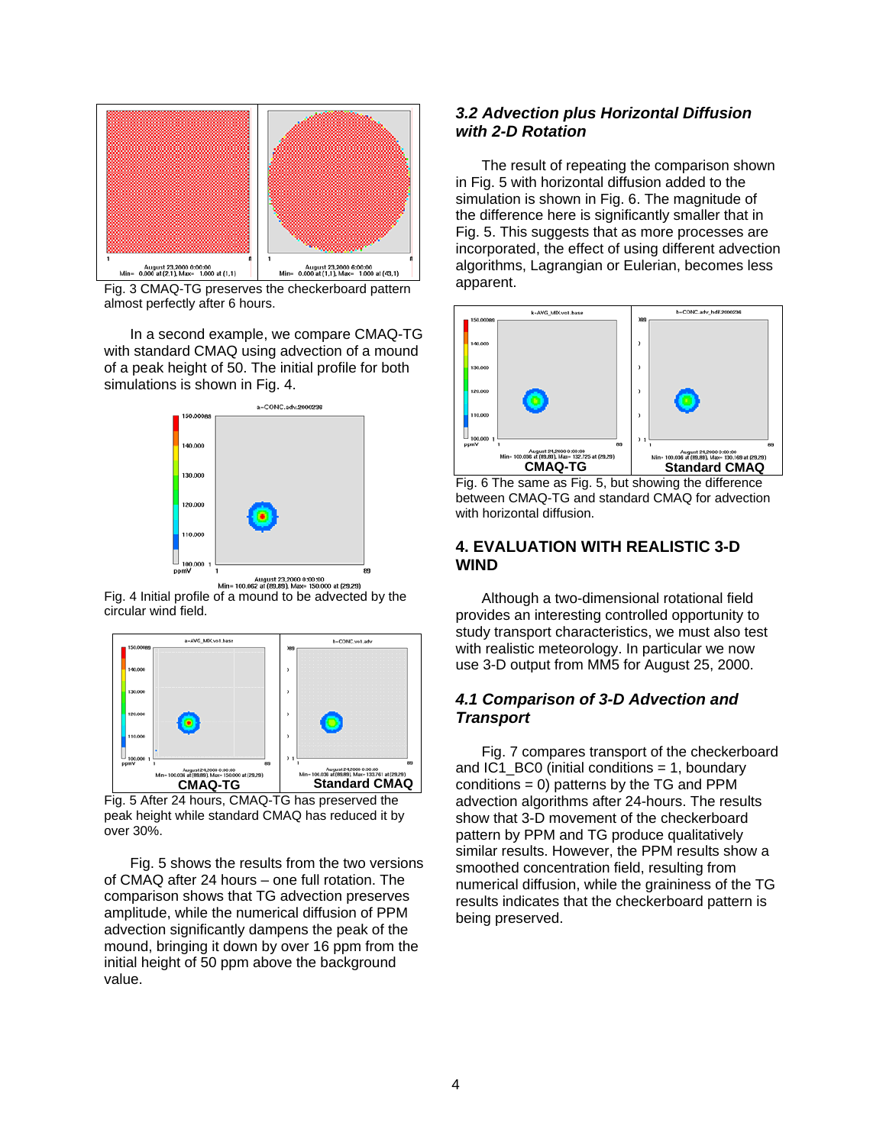

Fig. 3 CMAQ-TG preserves the checkerboard pattern almost perfectly after 6 hours.

In a second example, we compare CMAQ-TG with standard CMAQ using advection of a mound of a peak height of 50. The initial profile for both simulations is shown in Fig. 4.



Fig. 4 Initial profile of a mound to be advected by the circular wind field.



Fig. 5 After 24 hours, CMAQ-TG has preserved the peak height while standard CMAQ has reduced it by over 30%.

Fig. 5 shows the results from the two versions of CMAQ after 24 hours – one full rotation. The comparison shows that TG advection preserves amplitude, while the numerical diffusion of PPM advection significantly dampens the peak of the mound, bringing it down by over 16 ppm from the initial height of 50 ppm above the background value.

### *3.2 Advection plus Horizontal Diffusion with 2-D Rotation*

The result of repeating the comparison shown in Fig. 5 with horizontal diffusion added to the simulation is shown in Fig. 6. The magnitude of the difference here is significantly smaller that in Fig. 5. This suggests that as more processes are incorporated, the effect of using different advection algorithms, Lagrangian or Eulerian, becomes less apparent.



Fig. 6 The same as Fig. 5, but showing the difference between CMAQ-TG and standard CMAQ for advection with horizontal diffusion.

### **4. EVALUATION WITH REALISTIC 3-D WIND**

Although a two-dimensional rotational field provides an interesting controlled opportunity to study transport characteristics, we must also test with realistic meteorology. In particular we now use 3-D output from MM5 for August 25, 2000.

### *4.1 Comparison of 3-D Advection and Transport*

Fig. 7 compares transport of the checkerboard and IC1  $BC0$  (initial conditions = 1, boundary conditions  $= 0$ ) patterns by the TG and PPM advection algorithms after 24-hours. The results show that 3-D movement of the checkerboard pattern by PPM and TG produce qualitatively similar results. However, the PPM results show a smoothed concentration field, resulting from numerical diffusion, while the graininess of the TG results indicates that the checkerboard pattern is being preserved.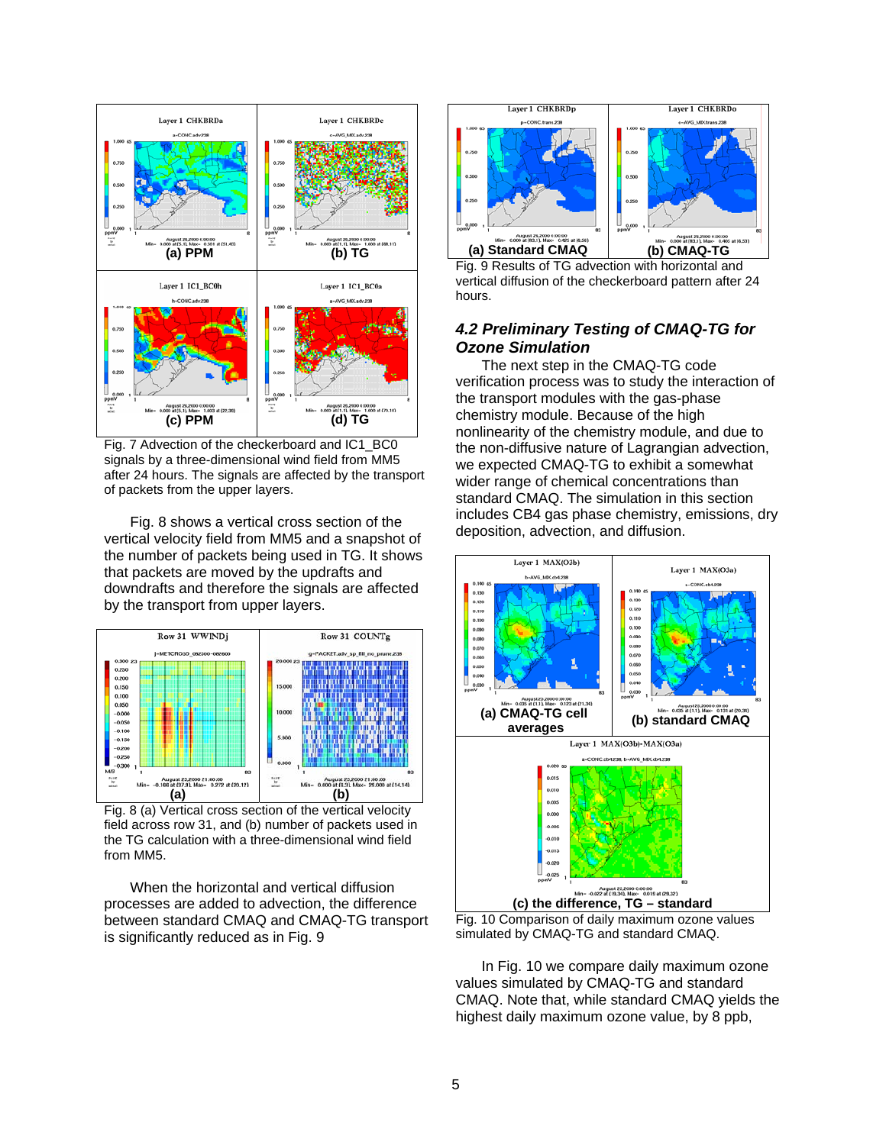

Fig. 7 Advection of the checkerboard and IC1\_BC0 signals by a three-dimensional wind field from MM5 after 24 hours. The signals are affected by the transport of packets from the upper layers.

Fig. 8 shows a vertical cross section of the vertical velocity field from MM5 and a snapshot of the number of packets being used in TG. It shows that packets are moved by the updrafts and downdrafts and therefore the signals are affected by the transport from upper layers.



Fig. 8 (a) Vertical cross section of the vertical velocity field across row 31, and (b) number of packets used in the TG calculation with a three-dimensional wind field from MM5.

When the horizontal and vertical diffusion processes are added to advection, the difference between standard CMAQ and CMAQ-TG transport is significantly reduced as in Fig. 9





### *4.2 Preliminary Testing of CMAQ-TG for Ozone Simulation*

The next step in the CMAQ-TG code verification process was to study the interaction of the transport modules with the gas-phase chemistry module. Because of the high nonlinearity of the chemistry module, and due to the non-diffusive nature of Lagrangian advection, we expected CMAQ-TG to exhibit a somewhat wider range of chemical concentrations than standard CMAQ. The simulation in this section includes CB4 gas phase chemistry, emissions, dry deposition, advection, and diffusion.



Fig. 10 Comparison of daily maximum ozone values simulated by CMAQ-TG and standard CMAQ.

In Fig. 10 we compare daily maximum ozone values simulated by CMAQ-TG and standard CMAQ. Note that, while standard CMAQ yields the highest daily maximum ozone value, by 8 ppb,